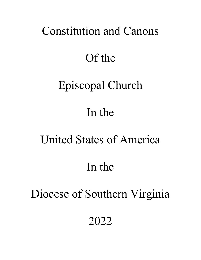# Constitution and Canons

# Of the

# Episcopal Church

# In the

# United States of America

# In the

# Diocese of Southern Virginia

2022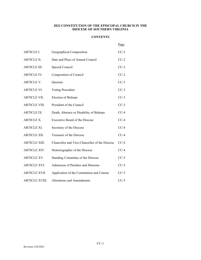# **2022 CONSTITUTION OF THE EPISCOPAL CHURCH IN THE DIOCESE OF SOUTHERN VIRGINIA**

# **CONTENTS**

|                      |                                               | Page   |
|----------------------|-----------------------------------------------|--------|
| ARTICLE I.           | Geographical Composition                      | $CC-2$ |
| ARTICLE II.          | Date and Place of Annual Council              | $CC-2$ |
| ARTICLE III.         | Special Council                               | $CC-2$ |
| <b>ARTICLE IV.</b>   | Composition of Council                        | $CC-2$ |
| ARTICLE V.           | Quorum                                        | $CC-3$ |
| ARTICLE VI.          | Voting Procedure                              | $CC-3$ |
| ARTICLE VII.         | Election of Bishops                           | $CC-3$ |
| ARTICLE VIII.        | President of the Council                      | $CC-3$ |
| ARTICLE IX.          | Death, Absence or Disability of Bishops       | $CC-4$ |
| <b>ARTICLE X.</b>    | <b>Executive Board of the Diocese</b>         | $CC-4$ |
| ARTICLE XI.          | Secretary of the Diocese                      | $CC-4$ |
| ARTICLE XII.         | Treasurer of the Diocese                      | $CC-4$ |
| ARTICLE XIII.        | Chancellor and Vice-Chancellor of the Diocese | $CC-4$ |
| ARTICLE XIV.         | Historiographer of the Diocese                | $CC-4$ |
| ARTICLE XV.          | Standing Committee of the Diocese             | $CC-5$ |
| ARTICLE XVI.         | Admission of Parishes and Missions            | $CC-5$ |
| <b>ARTICLE XVII.</b> | Application of the Constitution and Canons    | $CC-5$ |
| ARTICLE XVIII.       | <b>Alterations and Amendments</b>             | $CC-5$ |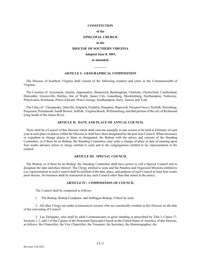#### **CONSTITUTION**

#### **of the**

#### **EPISCOPAL CHURCH**

#### **in the**

#### **DIOCESE OF SOUTHERN VIRGINIA**

# **Adopted June 8, 1893,**

# **as amended. \_\_\_\_\_\_\_**

# **ARTICLE I: GEOGRAPHICAL COMPOSITION**

 The Diocese of Southern Virginia shall consist of the following counties and cities in the Commonwealth of Virginia:

 The Counties of: Accomack, Amelia, Appomattox, Brunswick, Buckingham, Charlotte, Chesterfield, Cumberland, Dinwiddie, Greensville, Halifax, Isle of Wight, James City, Lunenburg, Mecklenburg, Northampton, Nottoway, Pittsylvania, Powhatan, Prince Edward, Prince George, Southampton, Surry, Sussex and York.

 The Cities of: Chesapeake, Danville, Emporia, Franklin, Hampton, Hopewell, Newport News, Norfolk, Petersburg, Poquoson, Portsmouth, South Boston, Suffolk, Virginia Beach, Williamsburg, and that portion of the city of Richmond lying South of the James River.

#### **ARTICLE II: DATE AND PLACE OF ANNUAL COUNCIL**

 There shall be a Council of this Diocese which shall convene annually in one session to be held in February of each year at such place or places within the Diocese as shall have been designated by the previous Council. When necessary or expedient to change places or dates so designated, the Bishop with the advice and consent of the Standing Committee, or if there be no Bishop, the Standing Committee, may order a change of place or date of meeting upon four weeks advance notice to clergy entitled to seats and to the congregations entitled to lay representation in the council.

#### **ARTICLE III: SPECIAL COUNCIL**

 The Bishop, or if there be no Bishop, the Standing Committee shall have power to call a Special Council and to designate the date and place thereof. The Clergy entitled to seats and the Parishes and Organized Missions entitled to Lay representation in such Council shall be notified of the date, place, and purpose of such Council at least four weeks prior thereto. No business shall be transacted at any such Council other than that stated in the notice.

#### **ARTICLE IV: COMPOSITION OF COUNCIL**

The Council shall be composed as follows:

l. The Bishop, Bishop Coadjutor, and Suffragan Bishop, if there be such.

2. All other Clergy not under ecclesiastical censure who are canonically resident in this Diocese on the date of the convening of Council.

3. Lay Delegates, who shall be adult Communicants in good standing as prescribed by Title I, Canon 17, Sections 1, 2, and 3 of the Canons of the Protestant Episcopal Church in the United States of America, of this Diocese, as follows: the Chancellor, the Vice Chancellor, the Treasurer, the Secretary, the Historiographer, the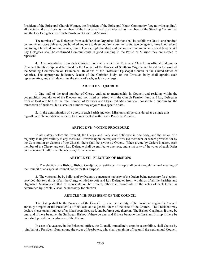President of the Episcopal Church Women, the President of the Episcopal Youth Community [age notwithstanding], all elected and ex officio lay members of the Executive Board, all elected lay members of the Standing Committee, and the Lay Delegates from each Parish and Organized Mission.

The number of Lay Delegates from each Parish or Organized Mission shall be as follows: One to one hundred communicants, one delegate; one hundred and one to three hundred communicants, two delegates; three hundred and one to eight hundred communicants, four delegates; eight hundred and one or over communicants, six delegates. All Lay Delegates shall be confirmed Communicants in good standing in the Parish or Mission they are elected to represent.

4. A representative from each Christian body with which the Episcopal Church has official dialogue or Covenant Relationship, as determined by the Council of the Diocese of Southern Virginia and based on the work of the Standing Commission on Ecumenical Relations of the Protestant Episcopal Church in the United States of America. The appropriate judicatory leader of the Christian body, or the Christian body shall appoint each representative, and shall determine the status of each, as laity or clergy.

# **ARTICLE V: QUORUM**

l. One half of the total number of Clergy entitled to membership in Council and residing within the geographical boundaries of the Diocese and not listed as retired with the Church Pension Fund and Lay Delegates from at least one half of the total number of Parishes and Organized Missions shall constitute a quorum for the transaction of business, but a smaller number may adjourn to a specific date.

2. In the determination of a quorum each Parish and each Mission shall be considered as a single unit regardless of the number of worship locations located within each Parish or Mission.

#### **ARTICLE VI: VOTING PROCEDURE**

In all matters before the Council, the Clergy and Laity shall deliberate in one body, and the action of a majority shall give validity to any measure. However upon the request of five (5) members, or where provided for by the Constitution or Canons of the Church, there shall be a vote by Orders. When a vote by Orders is taken, each member of the Clergy and each Lay Delegate shall be entitled to one vote, and a majority of the votes of each Order on a concurrent ballot shall be necessary for a decision.

# **ARTICLE VII: ELECTION OF BISHOPS**

1. The election of a Bishop, Bishop Coadjutor, or Suffragan Bishop shall be at a regular annual meeting of the Council or at a special Council called for this purpose.

2. The vote shall be by ballot and by Orders, a concurrent majority of the Orders being necessary for election, provided that two thirds of all the Clergy entitled to vote and Lay Delegates from two thirds of all the Parishes and Organized Missions entitled to representation be present, otherwise, two-thirds of the votes of each Order as determined by Article V shall be necessary for election.

# **ARTICLE VIII: PRESIDENT OF THE COUNCIL**

The Bishop shall be the President of the Council. It shall be the duty of the President to give the Council annually a report of the President's official acts and a general view of the state of the Church. The President may declare views on any subject after it has been discussed, and before a vote thereon. The Bishop Coadjutor, if there be one, and if there be none, the Suffragan Bishop if there be one, and if there be none the Assistant Bishop if there be one, shall preside in the absence of the Bishop.

In case of a vacancy in the Episcopal office, the Council, immediately upon its assembling, shall choose by joint ballot a President from among the order of Presbyters, who shall remain in office until the next annual Council,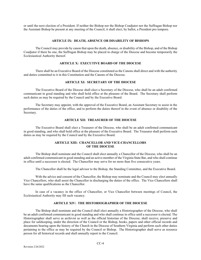or until the next election of a President. If neither the Bishop nor the Bishop Coadjutor nor the Suffragan Bishop nor the Assistant Bishop be present at any meeting of the Council, it shall elect, by ballot, a President pro tempore.

#### **ARTICLE IX: DEATH, ABSENCE OR DISABILITY OF BISHOPS**

The Council may provide by canon that upon the death, absence, or disability of the Bishop, and of the Bishop Coadjutor if there be one, the Suffragan Bishop may be placed in charge of the Diocese and become temporarily the Ecclesiastical Authority thereof.

# **ARTICLE X: EXECUTIVE BOARD OF THE DIOCESE**

There shall be an Executive Board of the Diocese constituted as the Canons shall direct and with the authority and duties committed to it in this Constitution and the Canons of the Diocese.

# **ARTICLE XI: SECRETARY OF THE DIOCESE**

The Executive Board of the Diocese shall elect a Secretary of the Diocese, who shall be an adult confirmed communicant in good standing and who shall hold office at the pleasure of the Board. The Secretary shall perform such duties as may be required by the Council and by the Executive Board.

The Secretary may appoint, with the approval of the Executive Board, an Assistant Secretary to assist in the performance of the duties of the office, and to perform the duties thereof in the event of absence or disability of the Secretary.

# **ARTICLE XII: TREASURER OF THE DIOCESE**

The Executive Board shall elect a Treasurer of the Diocese, who shall be an adult confirmed communicant in good standing, and who shall hold office at the pleasure of the Executive Board. The Treasurer shall perform such duties as may be required by the Council and by the Executive Board.

# **ARTICLE XIII: CHANCELLOR AND VICE-CHANCELLORS OF THE DIOCESE**

The Bishop shall nominate and the Council shall elect annually a Chancellor of the Diocese, who shall be an adult confirmed communicant in good standing and an active member of the Virginia State Bar, and who shall continue in office until a successor is elected. The Chancellor may serve for no more than five consecutive years.

The Chancellor shall be the legal advisor to the Bishop, the Standing Committee, and the Executive Board.

With the advice and consent of the Chancellor, the Bishop may nominate and the Council may elect annually Vice Chancellors, who shall assist the Chancellor in discharging the duties of the office. The Vice Chancellors shall have the same qualifications as the Chancellor.

In case of a vacancy in the office of Chancellor, or Vice Chancellor between meetings of Council, the Ecclesiastical Authority may fill such vacancy.

# **ARTICLE XIV: THE HISTORIOGRAPHER OF THE DIOCESE**

The Bishop shall nominate and the Council shall elect annually a Historiographer of the Diocese, who shall be an adult confirmed communicant in good standing and who shall continue in office until a successor is elected. The Historiographer shall serve as archivist as well as the official historian of the Diocese; shall receive, preserve and place for safekeeping, under the direction of the Council or the Bishop, books, papers and other official records and documents bearing upon the history of the Church in the Diocese of Southern Virginia and perform such other duties pertaining to the office as may be required by the Council or Bishop. The Historiographer shall serve as resource person for all historical records and shall annually report to the Council.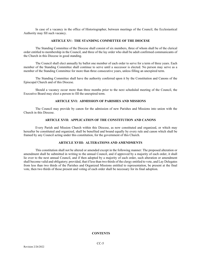In case of a vacancy in the office of Historiographer, between meetings of the Council, the Ecclesiastical Authority may fill such vacancy.

# **ARTICLE XV: THE STANDING COMMITTEE OF THE DIOCESE**

The Standing Committee of the Diocese shall consist of six members, three of whom shall be of the clerical order entitled to membership in the Council, and three of the lay order who shall be adult confirmed communicants of the Church in this Diocese in good standing.

The Council shall elect annually by ballot one member of each order to serve for a term of three years. Each member of the Standing Committee shall continue to serve until a successor is elected. No person may serve as a member of the Standing Committee for more than three consecutive years, unless filling an unexpired term.

The Standing Committee shall have the authority conferred upon it by the Constitution and Canons of the Episcopal Church and of this Diocese.

Should a vacancy occur more than three months prior to the next scheduled meeting of the Council, the Executive Board may elect a person to fill the unexpired term.

# **ARTICLE XVI: ADMISSION OF PARISHES AND MISSIONS**

The Council may provide by canon for the admission of new Parishes and Missions into union with the Church in this Diocese.

# **ARTICLE XVII: APPLICATION OF THE CONSTITUTION AND CANONS**

Every Parish and Mission Church within this Diocese, as now constituted and organized, or which may hereafter be constituted and organized, shall be benefited and bound equally by every rule and canon which shall be framed by any Council acting under this constitution, for the government of this Church.

#### **ARTICLE XVIII: ALTERATIONS AND AMENDMENTS**

This constitution shall not be altered or amended except in the following manner: The proposed alteration or amendment shall be submitted in writing to the annual Council, and if approved by a majority of each order, it shall lie over to the next annual Council, and if then adopted by a majority of each order, such alteration or amendment shall become valid and obligatory; provided, that if less than two thirds of the clergy entitled to vote, and Lay Delegates from less than two thirds of the Parishes and Organized Missions entitled to representation, be present at the final vote, then two thirds of those present and voting of each order shall be necessary for its final adoption.

#### **CONTENTS**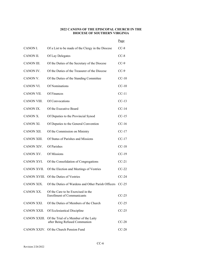# **2022 CANONS OF THE EPISCOPAL CHURCH IN THE DIOCESE OF SOUTHERN VIRGINIA**

Page

| CANON I.    | Of a List to be made of the Clergy in the Diocese                                   | $CC-8$  |
|-------------|-------------------------------------------------------------------------------------|---------|
| CANON II.   | Of Lay Delegates                                                                    | $CC-8$  |
| CANON III.  | Of the Duties of the Secretary of the Diocese                                       | $CC-9$  |
| CANON IV.   | Of the Duties of the Treasurer of the Diocese                                       | $CC-9$  |
| CANON V.    | Of the Duties of the Standing Committee                                             | $CC-10$ |
| CANON VI.   | Of Nominations                                                                      | $CC-10$ |
| CANON VII.  | Of Finances                                                                         | $CC-11$ |
| CANON VIII. | Of Convocations                                                                     | $CC-13$ |
| CANON IX.   | Of the Executive Board                                                              | $CC-14$ |
| CANON X.    | Of Deputies to the Provincial Synod                                                 | $CC-15$ |
| CANON XI.   | Of Deputies to the General Convention                                               | $CC-16$ |
| CANON XII.  | Of the Commission on Ministry                                                       | $CC-17$ |
| CANON XIII. | Of Status of Parishes and Missions                                                  | $CC-17$ |
| CANON XIV.  | Of Parishes                                                                         | $CC-18$ |
| CANON XV.   | Of Missions                                                                         | $CC-19$ |
| CANON XVI.  | Of the Consolidation of Congregations                                               | $CC-21$ |
| CANON XVII. | Of the Election and Meetings of Vestries                                            | $CC-22$ |
|             | CANON XVIII. Of the Duties of Vestries                                              | $CC-24$ |
| CANON XIX.  | Of the Duties of Wardens and Other Parish Officers                                  | $CC-25$ |
| CANON XX.   | Of the Care to be Exercised in the<br><b>Enrollment of Communicants</b>             | $CC-25$ |
| CANON XXI.  | Of the Duties of Members of the Church                                              | $CC-25$ |
| CANON XXII. | Of Ecclesiastical Discipline                                                        | $CC-25$ |
|             | CANON XXIII. Of the Trial of a Member of the Laity<br>after Being Refused Communion | $CC-28$ |
|             | CANON XXIV. Of the Church Pension Fund                                              | $CC-28$ |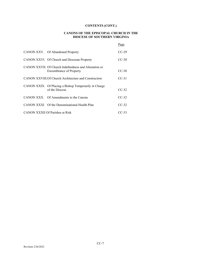# **CONTENTS (CONT.)**

# **CANONS OF THE EPISCOPAL CHURCH IN THE DIOCESE OF SOUTHERN VIRGINIA**

|                                                                                         | Page    |
|-----------------------------------------------------------------------------------------|---------|
| CANON XXV. Of Abandoned Property                                                        | $CC-29$ |
| CANON XXVI. Of Church and Diocesan Property                                             | $CC-30$ |
| CANON XXVII. Of Church Indebtedness and Alienation or<br><b>Encumbrance of Property</b> | $CC-30$ |
| CANON XXVIII.Of Church Architecture and Construction                                    | $CC-31$ |
| CANON XXIX. Of Placing a Bishop Temporarily in Charge<br>of the Diocese                 | $CC-32$ |
| CANON XXX. Of Amendments to the Canons                                                  | $CC-32$ |
| CANON XXXI Of the Denominational Health Plan                                            | $CC-32$ |
| <b>CANON XXXII Of Parishes at Risk</b>                                                  | CC-33   |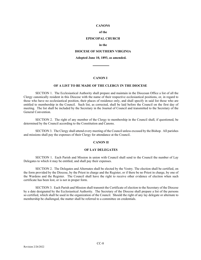#### **CANONS**

# **of the**

# **EPISCOPAL CHURCH**

#### **in the**

# **DIOCESE OF SOUTHERN VIRGINIA**

# **Adopted June 10, 1893, as amended. \_\_\_\_\_\_\_\_\_\_**

#### **CANON I**

#### **OF A LIST TO BE MADE OF THE CLERGY IN THE DIOCESE**

SECTION 1. The Ecclesiastical Authority shall prepare and maintain in the Diocesan Office a list of all the Clergy canonically resident in this Diocese with the name of their respective ecclesiastical positions, or, in regard to those who have no ecclesiastical position, their places of residence only, and shall specify in said list those who are entitled to membership in the Council. Such list, as corrected, shall be laid before the Council on the first day of meeting. The list shall be included by the Secretary in the Journal of Council and transmitted to the Secretary of the General Convention.

SECTION 2. The right of any member of the Clergy to membership in the Council shall, if questioned, be determined by the Council according to the Constitution and Canons.

SECTION 3. The Clergy shall attend every meeting of the Council unless excused by the Bishop. All parishes and missions shall pay the expenses of their Clergy for attendance at the Council..

#### **CANON II**

#### **OF LAY DELEGATES**

SECTION 1. Each Parish and Mission in union with Council shall send to the Council the number of Lay Delegates to which it may be entitled, and shall pay their expenses.

SECTION 2. The Delegates and Alternates shall be elected by the Vestry. The election shall be certified, on the form provided by the Diocese, by the Priest in charge and the Register, or if there be no Priest in charge, by one of the Wardens and the Register. The Council shall have the right to receive other evidence of election when such certificate has been lost, or is not in proper form.

SECTION 3. Each Parish and Mission shall transmit the Certificate of election to the Secretary of the Diocese by a date designated by the Ecclesiastical Authority. The Secretary of the Diocese shall prepare a list of the persons so certified, which shall be used in the organization of the Council. Should the right of any lay delegate or alternate to membership be challenged, the matter shall be referred to a committee on credentials.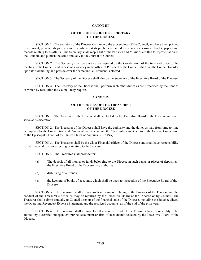#### **CANON III**

#### **OF THE DUTIES OF THE SECRETARY OF THE DIOCESE**

SECTION 1. The Secretary of the Diocese shall record the proceedings of the Council, and have them printed in a journal; preserve its journals and records; attest its public acts; and deliver to a successor all books, papers and records relating to its affairs. The Secretary shall keep a list of the Parishes and Missions entitled to representation in the Council, and publish the same annually in the Journal of Council.

SECTION 2. The Secretary shall give notice, as required by the Constitution, of the time and place of the meeting of the Council, and in case of a vacancy in the office of President of the Council, shall call the Council to order upon its assembling and preside over the same until a President is elected.

SECTION 3. The Secretary of the Diocese shall also be the Secretary of the Executive Board of the Diocese.

SECTION 4. The Secretary of the Diocese shall perform such other duties as are prescribed by the Canons or which by resolution the Council may require.

# **CANON IV**

# **OF THE DUTIES OF THE TREASURER OF THE DIOCESE**

SECTION 1. The Treasurer of the Diocese shall be elected by the Executive Board of the Diocese and shall serve at its discretion

SECTION 2. The Treasurer of the Diocese shall have the authority and the duties as may from time to time be imposed by the Constitution and Canons of the Diocese and the Constitution and Canons of the General Convention of the Episcopal Church of the United States of America. (ECUSA)

SECTION 3. The Treasurer shall be the Chief Financial officer of the Diocese and shall have responsibility for all financial matters affecting or relating to the Diocese.

SECTION 4. The Treasurer shall provide for:

- (a) The deposit of all monies or funds belonging to the Diocese in such banks or places of deposit as the Executive Board of the Diocese may authorize;
- (b) disbursing of all funds;
- (c) the keeping of books of accounts, which shall be open to inspection of the Executive Board of the Diocese.

SECTION 5. The Treasurer shall provide such information relating to the finances of the Diocese and the conduct of the Treasurer's office as may be required by the Executive Board of the Diocese or by Council. The Treasurer shall submit annually to Council a report of the financial state of the Diocese, including the Balance Sheet, the Operating Revenues/ Expense Statement, and the restricted accounts, as of the end of the prior year.

SECTION 6. The Treasurer shall arrange for all accounts for which the Treasurer has responsibility to be audited by a certified independent public accountant or firm of accountants selected by the Executive Board of the Diocese.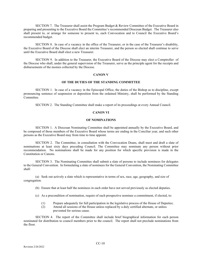SECTION 7. The Treasurer shall assist the Program Budget & Review Committee of the Executive Board in preparing and presenting to the Executive Board the Committee's recommended Diocesan Budget. The Treasurer also shall present to, or arrange for someone to present to, each Convocation and to Council the Executive Board's recommended budget.

SECTION 8. In case of a vacancy in the office of the Treasurer, or in the case of the Treasurer's disability, the Executive Board of the Diocese shall elect an interim Treasurer, and the person so elected shall continue to serve until the Executive Board shall elect a new Treasurer.

SECTION 9. In addition to the Treasurer, the Executive Board of the Diocese may elect a Comptroller of the Diocese who shall, under the general supervision of the Treasurer, serve as the principle agent for the receipts and disbursements of the monies collected by the Diocese.

#### **CANON V**

## **OF THE DUTIES OF THE STANDING COMMITTEE**

SECTION 1. In case of a vacancy in the Episcopal Office, the duties of the Bishop as to discipline, except pronouncing sentence of suspension or deposition from the ordained Ministry, shall be performed by the Standing Committee.

SECTION 2. The Standing Committee shall make a report of its proceedings at every Annual Council.

### **CANON VI**

#### **OF NOMINATIONS**

SECTION 1. A Diocesan Nominating Committee shall be appointed annually by the Executive Board, and be composed of those members of the Executive Board whose terms are ending in the Conciliar year, and such other persons as the Executive Board may from time to time appoint.

SECTION 2. The Committee, in consultation with the Convocation Deans, shall meet and draft a slate of nominations at least sixty days preceding Council. The Committee may nominate any person without prior recommendation. No nominations shall be made for any position for which specific provision is made in the Constitution or Canons.

SECTION 3. The Nominating Committee shall submit a slate of persons to include nominees for delegates to the General Convention. In formulating a slate of nominees for the General Convention, the Nominating Committee shall:

(a) Seek out actively a slate which is representative in terms of sex, race, age, geography, and size of congregation.

- (b) Ensure that at least half the nominees in each order have not served previously as elected deputies.
- (c) As a precondition of nomination, require of each prospective nominee a commitment, if elected, to:
	- (1) Prepare adequately for full participation in the legislative process of the House of Deputies;
	- (2) Attend all sessions of the House unless replaced by a duly certified alternate, or unless prevented for serious cause.

SECTION 4. The report of the Committee shall include brief biographical information for each person nominated for distribution to council members prior to the council. The report shall not preclude nominations from the floor.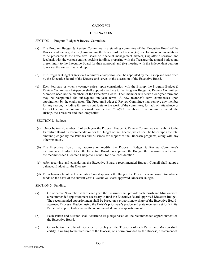#### **CANON VII**

#### **OF FINANCES**

SECTION 1. Program Budget & Review Committee.

- (a) The Program Budget & Review Committee is a standing committee of the Executive Board of the Diocese and is charged with (1) overseeing the finances of the Diocese, (ii) developing recommendations to be presented to the Executive Board on financial management matters, (iii) after discussion and feedback with the various entities seeking funding, preparing with the Treasurer the annual budget and presenting it to the Executive Board for their approval, and (iv) meeting with the independent auditors to review the annual financial report.
- (b) The Program Budget & Review Committee chairperson shall be appointed by the Bishop and confirmed by the Executive Board of the Diocese and serves at the discretion of the Executive Board.
- (c) Each February or when a vacancy exists, upon consultation with the Bishop, the Program Budget  $\&$ Review Committee chairperson shall appoint members to the Program Budget & Review Committee. Members need not be members of the Executive Board. Each member will serve a one-year term and may be reappointed for subsequent one-year terms. A new member's term commences upon appointment by the chairperson. The Program Budget & Review Committee may remove any member for any reason, including failure to contribute to the work of the committee, for lack of attendance or for not keeping the committee's work confidential. *Ex officio* members of the committee include the Bishop, the Treasurer and the Comptroller.

SECTION 2. Budgets.

- (a) On or before November 15 of each year the Program Budget & Review Committee shall submit to the Executive Board its recommendation for the Budget of the Diocese, which shall be based upon the total amount pledged by the Parishes and Missions for support of the Diocesan programs, along with any other revenues.
- (b) The Executive Board may approve or modify the Program Budges & Review Committee's recommended Budget. Once the Executive Board has approved the Budget, the Treasurer shall submit the recommended Diocesan Budget to Council for final consideration.
- (c) After receiving and considering the Executive Board's recommended Budget, Council shall adopt a balanced Budget for the Diocese.
- (d) From January 1st of each year until Council approves the Budget, the Treasurer is authorized to disburse funds on the basis of the current year's Executive Board-approved Diocesan Budget.

SECTION 3. Funding.

- (a) On or before November 30th of each year, the Treasurer shall provide each Parish and Mission with a recommended apportionment necessary to fund the Executive Board-approved Diocesan Budget. The recommended apportionment shall be based on a proportionate share of the Executive Boardapproved Diocesan Budget, using the Parish's prior year's pledge and plate revenues, set forth in its Parochial Report, to determine the recommended pro rata apportionment.
- (b) Each Parish and Mission shall determine its pledge based on the recommended apportionment of the Executive Board.
- (c) On or before the 31st of December of each year, the Treasurer of each Parish and Mission shall certify in writing to the Treasurer of the Diocese, on a form provided by the Diocese, a statement of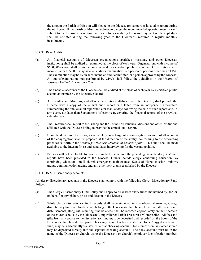the amount the Parish or Mission will pledge to the Diocese for support of its total program during the next year. If the Parish or Mission declines to pledge the recommended apportionment, it shall submit to the Treasurer in writing the reason for its inability to do so. Payment on these pledges shall be remitted during the following year to the Diocesan Treasurer in regular monthly installments.

# SECTION 4 Audits.

- (a) All financial accounts of Diocesan organizations (parishes, missions, and other Diocesan institutions) shall be audited or examined at the close of each year. Organizations with income of \$650,000 or over shall be audited or reviewed by a certified public accountant. Organizations with income under \$650,000 may have an audit or examination by a person or persons other than a CPA. The examination may be by an accountant, an audit committee, or a person approved by the Diocese. All audits/examinations not performed by CPA's shall follow the guidelines in the *Manual of Business Methods in Church Affairs*.
- (b) The financial accounts of the Diocese shall be audited at the close of each year by a certified public accountant named by the Executive Board.
- (c) All Parishes and Missions, and all other institutions affiliated with the Diocese, shall provide the Diocese with a copy of the annual audit report or a letter from an independent accountant summarizing the annual audit report not later than 30 days following the date of such report, and, in any event, not later than September 1 of each year, covering the financial reports of the previous calendar year.
- (d) The Treasurer shall report to the Bishop and the Council all Parishes, Missions and other institutions affiliated with the Diocese failing to provide the annual audit report.
- (e) Upon the departure of a rector, vicar, or clergy-in-charge of a congregation, an audit of all accounts of the congregation shall be prepared at the direction of the vestry, conforming to the accounting practices set forth in the *Manual for Business Methods in Church Affairs*. This audit shall be made available to the Interim Priest and candidates interviewing for the vacant position.
- (f) Parishes will not be eligible for grants from the Diocese until the preceding two calendar years' audit reports have been provided to the Diocese. Grants include clergy continuing education, lay continuing education, small church emergency maintenance, Seeds of Hope, mission initiative grants, communication grants, and any other new grants established by the Diocese.

SECTION 5. Discretionary accounts.

All clergy discretionary accounts in the Diocese shall comply with the following Clergy Discretionary Fund Policy:

- (a) The Clergy Discretionary Fund Policy shall apply to all discretionary funds maintained by, for, or on behalf of any bishop, priest and deacon in the Diocese.
- (b) While clergy discretionary fund records shall be maintained in a confidential manner, Clergy discretionary funds are funds which belong to the Diocese or church, and therefore, all receipts and disbursements, along with resulting fund balances, shall be recorded appropriately on the Diocese's or the church's books by the Diocesan Comptroller or Parish Treasurer or Comptroller. All fees and gifts from any source to the discretionary fund must be deposited and recorded on the books of the Diocese or church, and if a separate checking account has been established for a Clergy discretionary fund, may be subsequently transferred to that checking account. No monies from any other source may be deposited directly into the separate checking account. The bank account must be in the name of the Diocese or church, using the Diocese's or church's employer identification number,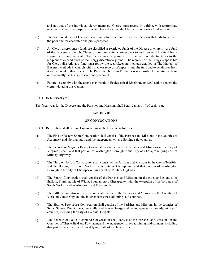and not that of the individual clergy member. Clergy must record in writing, with appropriate receipts attached, the purpose of every check drawn on the Clergy discretionary fund account.

- (c) The traditional uses of Clergy discretionary funds are to provide the clergy with funds for gifts to the poor and for charitable and pious purposes.
- (d) All Clergy discretionary funds are classified as restricted funds of the Diocese or church. As a fund of the Diocese or church, Clergy discretionary funds are subject to audit, even if the fund has a separate checking account. The clergy may be permitted to maintain confidentiality as to the recipient of expenditures of the Clergy discretionary fund. The member of the Clergy responsible for Clergy discretionary fund must follow the recordkeeping methods detailed in The Manual of Business Methods in Church Affairs. Clear records of deposits into the fund and expenditures from it are essential to this process. The Parish or Diocesan Treasurer is responsible for auditing at least once annually the Clergy discretionary account.
- (e) Failure to comply with the above may result in Ecclesiastical Discipline or legal action against the clergy violating this Canon.

SECTION 6. Fiscal year.

The fiscal year for the Diocese and the Parishes and Missions shall begin January 1<sup>st</sup> of each year.

# **CANON VIII**

#### **OF CONVOCATIONS**

SECTION 1. There shall be nine Convocations in the Diocese as follows:

- (a) The First or Eastern Shore Convocation shall consist of the Parishes and Missions in the counties of Accomack and Northampton and the independent cities adjoining said counties.
- (b) The Second or Virginia Beach Convocation shall consist of Parishes and Missions in the City of Virginia Beach, and that portion of Washington Borough in the City of Chesapeake lying east of Military Highway.
- (c) The Third or Norfolk Convocation shall consist of the Parishes and Missions in the City of Norfolk, and the Borough of South Norfolk in the city of Chesapeake, and that portion of Washington Borough in the city of Chesapeake lying west of Military Highway.
- (d) The Fourth Convocation shall consist of the Parishes and Missions in the cities and counties of Suffolk, Franklin, Isle of Wight, Southampton, Chesapeake (with the exception of the boroughs of South Norfolk and Washington) and Portsmouth.
- (e) The Fifth or Jamestown Convocation shall consist of the Parishes and Missions in the Counties of York and James City and the independent cities adjoining said counties.
- (f) The Sixth or Petersburg Convocation shall consist of the Parishes and Missions in the counties of Surry, Sussex, Dinwiddie, Greensville, and Prince George and the independent cities adjoining said counties, including the City of Colonial Heights.
- (g) The Seventh or South Richmond Convocation shall consist of the Parishes and Missions in the Counties of Chesterfield and Powhatan, and the independent cities adjoining said counties, including that part of the City of Richmond lying south of the James River.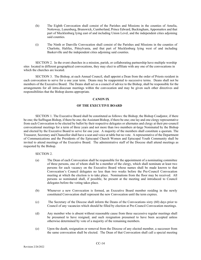- (h) The Eighth Convocation shall consist of the Parishes and Missions in the counties of Amelia, Nottoway, Lunenburg, Brunswick, Cumberland, Prince Edward, Buckingham, Appomattox and that part of Mecklenburg lying east of and including Union Level, and the independent cities adjoining said counties.
- (i) The Ninth or Danville Convocation shall consist of the Parishes and Missions in the counties of Charlotte, Halifax, Pittsylvania, and that part of Mecklenburg lying west of and including Baskerville and the independent cities adjoining said counties.

SECTION 2. In the event churches in a mission, parish, or collaborating partnership have multiple worship sites located in different geographical convocations, they may elect to affiliate with any one of the convocations in which the churches are located.

SECTION 3. The Bishop, at each Annual Council, shall appoint a Dean from the order of Priests resident in each convocation to serve for a one year term. Deans may be reappointed to successive terms. Deans shall not be members of the Executive Board. The Deans shall act as a council of advice to the Bishop, shall be responsible for the arrangements for all intra-diocesan meetings within the convocation and may be given such other directives and responsibilities that the Bishop deems appropriate.

# **CANON IX**

# **OF THE EXECUTIVE BOARD**

SECTION 1. The Executive Board shall be constituted as follows: the Bishop; the Bishop Coadjutor, if there be one; the Suffragan Bishop, if there be one; the Assistant Bishop, if there be one; one lay and one clergy representative from each Convocation to be elected by ballot by their respective delegates or alternates and clergy at their pre-council convocational meetings for a term of three years and not more than two members at-large Nominated by the Bishop and elected by the Executive Board to serve for one year. A majority of the members shall constitute a quorum. The Treasurer, Secretary and Chancellor shall have a seat and voice at table but no vote. A representative of the Department of Communications and the Presidents of the Episcopal Church Women and Episcopal Youth Community shall be invited to attend meetings of the Executive Board. The administrative staff of the Diocese shall attend meetings as requested by the Bishop.

# SECTION 2.

- (a) The Dean of each Convocation shall be responsible for the appointment of a nominating committee of three persons, one of whom shall be a member of the clergy, which shall nominate at least two persons for each vacancy on the Executive Board whose names shall be made known to that Convocation's Council delegates no less than two weeks before the Pre-Council Convocation meeting at which the election is to take place. Nominations from the floor may be received. All persons so nominated shall, if possible, be present at the meeting and introduced to Council delegates before the voting takes place.
- (b) Whenever a new Convocation is formed, an Executive Board member residing in the newly constituted Convocation shall represent the new Convocation until the term expires.
- (c) The Secretary of the Diocese shall inform the Deans of the Convocations sixty (60) days prior to Council of any vacancies which should be filled by election at Pre-Council Convocation meetings.
- (d) Any member who is absent without reasonable cause from three successive regular meetings shall be presumed to have resigned, and such resignation presumed to have been accepted unless otherwise determined by vote of a majority of the remaining members.
- (e) Upon the death, resignation or removal from the Diocese of any elected member, a successor from the same convocation shall be elected. The Dean of that Convocation shall call a special meeting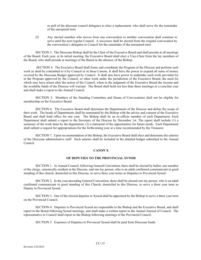or poll of the diocesan council delegates to elect a replacement, who shall serve for the remainder of the unexpired term.

(f) Any elected member who moves from one convocation to another convocation shall continue to serve until the next regular Council. A successor shall be elected from the original convocation by the convocation's delegates to Council for the remainder of the unexpired term.

SECTION 3. The Diocesan Bishop shall be the Chair of the Executive Board and shall preside at all meetings of the Board. Each year, at its initial meeting, the Executive Board shall elect a Vice-Chair from the lay members of the Board, who shall preside at meetings of the Board in the absence of the Bishop.

SECTION 4. The Executive Board shall foster and coordinate the Program of the Diocese and perform such work as shall be committed to it by Council or in these Canons. It shall have the power to expend all sums of money covered by the Diocesan Budget approved by Council. It shall also have power to undertake such work provided for in the Program approved by the Council, or other work under the jurisdiction of the Executive Board, the need for which may have arisen after the action of the Council, when in the judgment of the Executive Board the income and the available funds of the Diocese will warrant. The Board shall hold not less than three meetings in a conciliar year and shall make a report to the Annual Council.

SECTION 5. Members of the Standing Committee and Deans of Convocations shall not be eligible for membership on the Executive Board.

SECTION 6. The Executive Board shall determine the Departments of the Diocese and define the scope of their work. The heads of Departments shall be nominated by the Bishop with the advice and consent of the Executive Board and shall hold office for one year. The Bishop shall be an ex-officio member of each Department. Each Department shall submit a report to the Secretary of the Diocese by December 1st. The report shall include (1) a summary of the work done by the department; (2) a statement of the opportunities for future needs. Each Department shall submit a request for appropriations for the forthcoming year at a time recommended by the Treasurer.

SECTION 7. Upon recommendation of the Bishop, the Executive Board shall elect and determine the salaries of the Diocesan administrative staff. Such salaries shall be included in the detailed budget submitted to the Annual Council.

#### **CANON X**

#### **OF DEPUTIES TO THE PROVINCIAL SYNOD**

SECTION 1. At Annual Council, following General Convention, there shall be elected by ballot, one member of the clergy, canonically resident in the Diocese, and one lay person, who is an adult confirmed communicant in good standing of this church, domiciled in this Diocese, to serve three year terms as Deputies to Provincial Synod.

SECTION 2. In the year preceding General Convention, there shall be elected one lay person, who is an adult confirmed communicant in good standing of this Church, domiciled in this Diocese, to serve a three year term as Deputy to Provincial Synod.

SECTION 3. One of the elected deputies to Synod shall be appointed by the Bishop to serve a three year term on the Provincial Council.

SECTION 4. Deputies to Provincial Synod are responsible to the Bishop and the Executive Board, and shall report to the Board following Synod meetings, and shall make a written report to the Annual Journal of Council. The representative to Council shall report to the Bishop following meetings of the Provincial Council.

SECTION 5. Expenses of Deputies to Provincial Synod shall be paid from Diocesan funds.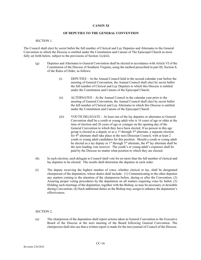# **CANON XI**

#### **OF DEPUTIES TO THE GENERAL CONVENTION**

#### SECTION 1.

The Council shall elect by secret ballot the full number of Clerical and Lay Deputies and Alternates to the General Convention to which the Diocese is entitled under the Constitution and Canons of The Episcopal Church as more fully set forth below, subject to the provisions of Section 1(c)(iii).

- (g) Deputies and Alternates to General Convention shall be elected in accordance with Article VI of the Constitution of the Diocese of Southern Virginia, using the method prescribed in part III, Section 8, of the Rules of Order, as follows:
	- (i) DEPUTIES At the Annual Council held in the second calendar year before the meeting of General Convention, the Annual Council shall elect by secret ballot the full number of Clerical and Lay Deputies to which this Diocese is entitled under the Constitution and Canons of the Episcopal Church.
	- (ii) ALTERNATES At the Annual Council in the calendar year prior to the meeting of General Convention, the Annual Council shall elect by secret ballot the full number of Clerical and Lay Alternates to which this Diocese is entitled under the Constitution and Canons of the Episcopal Church.
	- (iii) YOUTH DELEGATE At least one of the lay deputies or alternates to General Convention shall be a youth or young adult who is 16 years of age or older at the time of election and 26 years of age or younger on the opening day of the General Convention to which they have been elected. If no person in this age group is elected as a deputy or as a  $1<sup>st</sup>$  through  $3<sup>rd</sup>$  alternate, a separate election for 4<sup>th</sup> alternate shall take place at the next Diocesan Council, with at least 2 youth or young adult candidates for this position. Should a youth or young adult be elected as a lay deputy or  $1^{st}$  through  $3^{rd}$  alternate, the 4<sup>th</sup> lay alternate shall be the next leading vote receiver. The youth's or young adult's expenses shall be paid by the Diocese no matter what position to which they are elected.
- (h) In such election, each delegate to Council shall vote for no more than the full number of clerical and lay deputies to be elected. The results shall determine the deputies in each order.
- (i) The deputy receiving the highest number of votes, whether clerical or lay, shall be designated chairperson of the deputation, whose duties shall include: (1) Communicating to the other deputies any matters coming to the attention of the chairperson before, during or after the Convention; (2) Assuring proper voting procedures by the deputation on all matters requiring votes by ballot; (3) Holding such meetings of the deputation, together with the Bishop, as may be necessary or desirable during Convention; (4) Such additional duties as the Bishop may assign to enhance the deputation's effectiveness.

#### SECTION 2.

(a) The chairperson of the deputation shall report actions taken at General Convention to the Executive Board of the Diocese at the next meeting of the Board following General Convention. The chairperson shall also see that a written report is made for the next journal of Council of the Diocese.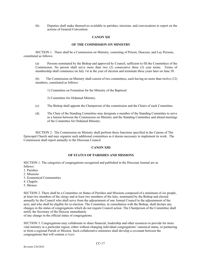(b) Deputies shall make themselves available to parishes, missions, and convocations to report on the actions of General Convention.

#### **CANON XII**

#### **OF THE COMMISSION ON MINISTRY**

SECTION 1. There shall be a Commission on Ministry, consisting of Priests, Deacons, and Lay Persons, constituted as follows:

(a) Persons nominated by the Bishop and approved by Council, sufficient to fill the Committees of the Commission. No person shall serve more than two (2) consecutive three (3) year terms. Terms of membership shall commence on July 1st in the year of election and terminate three years later on June 30.

(b) The Commission on Ministry shall consist of two committees, each having no more than twelve (12) members, constituted as follows:

1) Committee on Formation for the Ministry of the Baptized

2) Committee for Ordained Ministry.

- (c) The Bishop shall appoint the Chairperson of the commission and the Chairs of each Committee.
- (d) The Chair of the Standing Committee may designate a member of the Standing Committee to serve as a liaison between the Commission on Ministry and the Standing Committee and attend meetings of the Committee for Ordained Ministry.

SECTION 2. The Commission on Ministry shall perform those functions specified in the Canons of The Episcopal Church and may organize such additional committees as it deems necessary to implement its work. The Commission shall report annually to the Diocesan Council.

#### **CANON XIII**

#### **OF STATUS OF PARISHES AND MISSIONS**

SECTION 1. The categories of congregations recognized and published in the Diocesan Journal are as follows:

- 1. Parishes
- 2. Missions
- 3. Ecumenical Communities
- 4. Chapels
- 5. Shrines

SECTION 2. There shall be a Committee on Status of Parishes and Missions composed of a minimum of six people, at least two members of the clergy and at least two members of the laity, nominated by the Bishop and elected annually by the Council who shall serve from the adjournment of one Annual Council to the adjournment of the next, and who shall be eligible for re-election. The Committee, in consultation with the Bishop, shall declare any changes in the status of congregations which do not require Council action. The Chairperson of the Committee shall notify the Secretary of the Diocese immediately

of any change in the official status of congregations.

SECTION 3. Congregations may collaborate to share financial, leadership and other resources to provide for more vital ministry in a particular region, either without changing individual congregations' canonical status, or partnering to form a regional Parish or Mission. Such collaborative ministries shall develop a covenant between the congregations that will contain at least: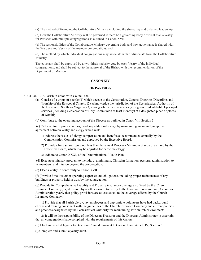(a) The method of financing the Collaborative Ministry including the shared lay and ordained leadership;

(b) How the Collaborative Ministry will be governed if there be a governing body different than a vestry for Parishes with multiple congregations as outlined in Canon XVII.

(c) The responsibilities of the Collaborative Ministry governing body and how governance is shared with the Wardens and Vestry of the member congregations, and;

(d) The method by which individual congregations may associate with or dissociate from the Collaborative Ministry.

The covenant shall be approved by a two-thirds majority vote by each Vestry of the individual congregations, and shall be subject to the approval of the Bishop with the recommendation of the Department of Mission.

#### **CANON XIV**

#### **OF PARISHES**

SECTION 1. A Parish in union with Council shall:

- (a) Consist of a group of people (1) which accede to the Constitution, Canons, Doctrine, Discipline, and Worship of the Episcopal Church, (2) acknowledge the jurisdiction of the Ecclesiastical Authority of the Diocese of Southern Virginia, (3) among whom there is a weekly program of identifiable Episcopal services (including a celebration of Holy Communion at least monthly) at a designated place or places of worship.
- (b) Contribute to the operating account of the Diocese as outlined in Canon VII, Section 3.

(c) Call a rector or priest-in-charge and any additional clergy by maintaining an annually-approved agreement between vestry and clergy which will:

- 1) Address the issues of clergy compensation and benefits as recommended annually by the Compensation Commission and approved by the Executive Board.
- 2) Provide a base salary figure not less than the annual Diocesan Minimum Standard as fixed by the Executive Board, which may be adjusted for part-time clergy.
- 3) Adhere to Canon XXXI, of the Denominational Health Plan.

(d) Execute a ministry program to include, at a minimum, Christian formation, pastoral administration to its members, and mission beyond the congregation.

(e) Elect a vestry in conformity to Canon XVII.

(f) (Provide for all its other operating expenses and obligations, including proper maintenance of any buildings or property held in trust by the congregation.

(g) Provide for Comprehensive Liability and Property insurance coverage as offered by the Church Insurance Company; or, if insured by another carrier, to certify to the Diocesan Treasurer and Canon for Administration yearly that policy provisions are at least equal to the coverage offered by the Church Insurance Company.

1) Provide that all Parish clergy, lay employees and appropriate volunteers have had background checks and training consonant with the guidelines of the Church Insurance Company and current policies and practices designated by the Ecclesiastical Authority for maintaining safe church environments.

2) It will be the responsibility of the Diocesan Treasurer and the Diocesan Administrator to ascertain that all congregations have complied with the requirements of this Canon.

(h) Elect and send delegates to Diocesan Council pursuant to Canon II, and Article IV, Section 3.

(i) Complete and submit a yearly audit.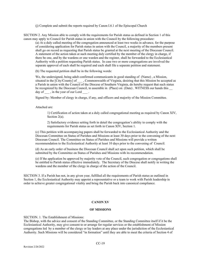(j) Complete and submit the reports required by Canon I.6.1 of the Episcopal Church

SECTION 2. Any Mission able to comply with the requirements for Parish status as defined in Section 1 of this canon may apply to Council for Parish status in union with the Council by the following procedure:

(a) At a duly called meeting of the congregation announced at least two weeks in advance, for the purpose of considering application for Parish status in union with the Council, a majority of the members present shall go on record as requesting that Parish status be granted at the next meeting of the Diocesan Council. A statement of the action taken at such meeting duly certified by the member of the clergy in charge, if there be one, and by the wardens or one warden and the register, shall be forwarded to the Ecclesiastical Authority with a petition requesting Parish status. In case two or more congregations are involved the separate approval of each shall be required and each shall file a separate petition and statement.

(b) The requested petition shall be in the following words:

We, the undersigned, being adult confirmed communicants in good standing of (Name) , a Mission, situated in the [City/County] of \_\_\_\_, Commonwealth of Virginia, desiring that this Mission be accepted as a Parish in union with the Council of the Diocese of Southern Virginia, do hereby request that such status be recognized by the Diocesan Council, to assemble in (Place) on (Date). WITNESS our hands this day of  $\qquad$ , in the year of our Lord  $\qquad$ .

Signed by: Member of clergy in charge, if any, and officers and majority of the Mission Committee.

Attached are:

1) Certification of action taken at a duly called congregational meeting as required by Canon XIV, Section 2(a).

2) Satisfactory evidence setting forth in detail the congregation's ability to comply with the requirements for Parish status as set forth in Canon XIV, Section 1.

(c) This petition with accompanying papers shall be forwarded to the Ecclesiastical Authority and the Diocesan Committee on Status of Parishes and Missions at least 30 days prior to the convening of the next Diocesan Council. The Committee on Status of Parishes and Missions will provide a written recommendation to the Ecclesiastical Authority at least 10 days prior to the convening of Council.

(d) As an early order of business the Diocesan Council shall act upon such petition, which shall be submitted by the Committee on Status of Parishes and Missions with its recommendation.

(e) If the application be approved by majority vote of the Council, such congregation or congregations shall be entitled to Parish status effective immediately. The Secretary of the Diocese shall notify in writing the wardens and the member of the clergy in charge of the action of the Council.

SECTION 3. If a Parish has not, in any given year, fulfilled all the requirements of Parish status as outlined in Section 1, the Ecclesiastical Authority may appoint a representative or a team to work with Parish leadership in order to achieve greater congregational vitality and bring the Parish back into canonical compliance.

# **CANON XV**

#### **OF MISSIONS**

SECTION. 1. The Establishment of Missions:

The Bishop, with the advice and consent of the Standing Committee, or the Standing Committee itself if it be the Ecclesiastical Authority, may give consent to or arrange for regular services or the establishment of Mission congregations led by a member of the clergy or lay leaders at any place under the jurisdiction of the Ecclesiastical Authority. Such Missions will be considered "in formation" until they are able to meet the criteria of Section 4 of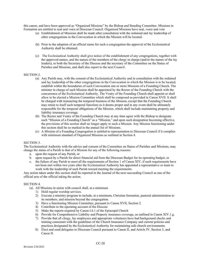this canon, and have been approved as "Organized Missions" by the Bishop and Standing Committee. Missions in Formation are entitled to seat and voice at Diocesan Council. Organized Missions have seat, voice and vote

- (a) Establishment of Missions shall be made after consultation with the ordained and lay leadership of other congregations in the Convocation in which the Mission will be located.
- (b) Prior to the adoption of an official name for such a congregation the approval of the Ecclesiastical Authority shall be obtained.
- (c) The Ecclesiastical Authority shall give notice of the establishment of any congregations, together with the approved names, and the names of the members of the clergy in charge (and/or the names of the lay leaders), to both the Secretary of the Diocese and the secretary of the Committee on the Status of Parishes and Missions, and shall also report to the next Council.

#### SECTION 2.

- (a) Any Parish may, with the consent of the Ecclesiastical Authority and in consultation with the ordained and lay leadership of the other congregations in the Convocation in which the Mission is to be located, establish within the boundaries of such Convocation one or more Missions of a Founding Church. The minister in charge of such Mission shall be appointed by the Rector of the Founding Church with the concurrence of the Ecclesiastical Authority. The Vestry of the Founding Church shall appoint or shall allow to be elected a Mission Committee which shall be composed as provided in Canon XVII. It shall be charged with transacting the temporal business of the Mission, except that the Founding Church may retain to itself such temporal functions as it deems proper and in any event shall be ultimately responsible for the temporal obligations of the Mission, which shall include maintaining property and liability insurance coverage.
- (b) The Rector and Vestry of the Founding Church may at any time agree with the Bishop to designate such "Mission of a Founding Church" as a "Mission," and upon such designation becoming effective, the provisions of this section shall no longer apply to such a Mission. Any Mission functioning under this section shall be so marked in the annual list of Missions.
- (c) A Mission of a Founding Congregation is entitled to representation to Diocesan Council if it complies with minimum standard of Organized Missions as outlined in Section 4.

#### SECTION 3.

The Ecclesiastical Authority with the advice and consent of the Committee on Status of Parishes and Missions, may change the status of a Parish to that of a Mission for any of the following reasons:

- a. upon the request of any Parish, or
- b. upon request by a Parish for direct financial aid from the Diocesan Budget for its operating budget, or
- c. the failure of any Parish to meet all the requirements of Section 1 of Canon XIV, if such requirements have not been met within two years after the Ecclesiastical Authority has appointed a representative or team to work with the leadership of such Parish toward meeting the requirements.

Any action taken under this section shall be reported in the Journal of the next succeeding Council as one of the official acts of the official taking the action.

# SECTION 4.

- (a) All Missions in union with council shall, at a minimum
	- 1) Hold regular worship services.
	- 2) Execute a ministry program to include, at a minimum, Christian formation, pastoral administration to its members, and mission beyond the congregation.
	- 3) Have a functioning Mission Committee, pursuant to Canon XVII, Section 2.
	- 4) Contribute to the operating account of the Diocese
	- 5) Make the reports required by Canon I.6.1 of the Episcopal Church
	- 6) Provide for Comprehensive Liability and Property insurance coverage, as outlined in Canon XIV.1.g.
	- 7) Provide that all clergy, lay employees and appropriate volunteers have had background checks and training consonant with the guidelines of the Church Insurance Company and current policies and practices designated by the Ecclesiastical Authority for maintaining safe church environments*.*
	- 8) Elect and send delegates to Diocesan Council pursuant to Canon II, and Article IV, Section 3, and Canon II.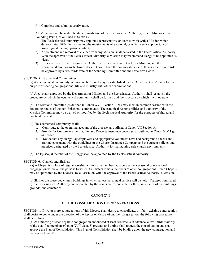- 9) Complete and submit a yearly audit.
- (b) All Missions shall be under the direct jurisdiction of the Ecclesiastical Authority, except Missions of a Founding Parish, as outlined in Section 2.
	- 1) The Ecclesiastical Authority may appoint a representative or team to work with a Mission which demonstrates difficulty in meeting the requirements of Section 4, or which needs support to work toward greater congregational vitality.
	- 2) Appointment and removal of a Vicar from any Mission, shall be vested in the Ecclesiastical Authority. With the approval of the Ecclesiastical Authority, a Mission may recommend clergy to be appointed as vicar.
	- 3) If for any reason, the Ecclesiastical Authority deem it necessary to close a Mission, and the recommendation for such closure does not come from the congregation itself, then such closure must be approved by a two-thirds vote of the Standing Committee and the Executive Board.

# SECTION 5. Ecumenical Communities

(a) An ecumenical community in union with Council may be established by the Department of Mission for the purpose of sharing congregational life and ministry with other denominations.

(b) A covenant approved by the Department of Mission and the Ecclesiastical Authority shall establish the procedure by which the ecumenical community shall be formed and the structure by which it will operate.

(c) The Mission Committee (as defined in Canon XVII, Section 1, 2b) may meet in common session with the governing bodies of the non-Episcopal components. The canonical responsibilities and authority of the Mission Committee may be waived or modified by the Ecclesiastical Authority for the purposes of shared and practical leadership.

(d) The ecumenical community shall:

- 1. Contribute to the operating account of the diocese, as outlined in Canon VII Section 3.
- 2. Provide for Comprehensive Liability and Property insurance coverage, as outlined in Canon XIV.1.g, as needed.
- 3. Provide that any clergy, lay employees and appropriate volunteers have had background checks and training consonant with the guidelines of the Church Insurance Company and the current policies and practices designated by the Ecclesiastical Authority for maintaining safe church environments.

(e) The Episcopal member of the Clergy shall be appointed by the Ecclesiastical Authority.

SECTION 6. Chapels and Shrines:

(a) A Chapel is a place of regular worship without any members. Chapels serve a seasonal or occasional congregation where all the persons to which it ministers remain members of other congregations. Such Chapels may be sponsored by the Diocese, by a Parish, or, with the approval of the Ecclesiastical Authority, a Mission.

(b) Shrines are preserved church buildings in which at least an annual service will be held. Trustees nominated by the Ecclesiastical Authority and appointed by the courts are responsible for the maintenance of the buildings, grounds, and cemeteries.

# **CANON XVI**

# **OF THE CONSOLIDATION OF CONGREGATIONS**

SECTION 1. If two or more congregations of this Diocese shall desire to consolidate, or if any existing congregation shall desire to come under the direction of the Rector or Vestry of another congregation, the following procedure shall be followed:

(a) At a meeting of each separate congregation announced at least two weeks in advance, a two-thirds majority of the qualified members (Canon XVII, Sect. 3) present, and voting shall request the consolidation and shall approve the Plan of Consolidation. This Plan of Consolidation shall be binding upon the new congregation and the Vestry thereof.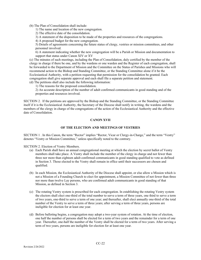(b) The Plan of Consolidation shall include:

1) The name and location of the new congregation.

2) The effective date of the consolidation.

3) A statement of the disposition to be made of the properties and resources of the congregations.

4) A proposed budget for the new congregation.

5) Details of agreements concerning the future status of clergy, vestries or mission committees, and other personnel involved.

6) A statement indicating whether the new congregation will be a Parish or Mission and documentation to support that status under Canon XIV or XV

(c) The minutes of such meetings, including the Plan of Consolidation, duly certified by the member of the clergy in charge if there be one, and by the wardens or one warden and the Register of each congregation, shall be forwarded to the Department of Mission and the Committee on the Status of Parishes and Missions who will recommend action to the Bishop and Standing Committee, or the Standing Committee alone if it be the Ecclesiastical Authority, with a petition requesting that permission for the consolidation be granted. Each congregation shall give separate approval and each shall file a separate petition and statement.

(d) The petitions shall also include the following information:

1) The reasons for the proposed consolidation.

2) An accurate description of the number of adult confirmed communicants in good standing and of the properties and resources involved.

SECTION 2. If the petitions are approved by the Bishop and the Standing Committee, or the Standing Committee itself if it is the Ecclesiastical Authority, the Secretary of the Diocese shall notify in writing, the wardens and the members of the clergy in charge of the congregations of the action of the Ecclesiastical Authority and the effective date of Consolidation.

# **CANON XVII**

# **OF THE ELECTION AND MEETINGS OF VESTRIES**

SECTION 1 . In this Canon, the term "Rector" implies "Rector, Vicar or Clergy-in-Charge," and the term "Vestry" denotes "Vestry or Mission Committee," unless specifically noted to the contrary.

SECTION 2. Election of Vestry Members.

- (a) Each Parish shall have an annual congregational meeting at which the election by secret ballot of Vestry members shall take place. A Vestry shall include the member of the clergy in charge and not fewer than three nor more than eighteen adult confirmed communicants in good standing qualified to vote as defined in Section 3. Those elected to the Vestry shall remain in office until their successors are chosen and qualified.
- (b) In each Mission, the Ecclesiastical Authority of the Diocese shall appoint, or else allow a Mission which is not a Mission of a Founding Church to elect for appointment, a Mission Committee of not fewer than three nor more than twelve Lay persons, who are confirmed adult communicants in good standing of that Mission, as defined in Section 3.
- (c) The rotating Vestry system is prescribed for each congregation. In establishing the rotating Vestry system the electors shall elect one-third of the total number to serve a term of three years, one third to serve a term of two years, one-third to serve a term of one year; and thereafter, shall elect annually one-third of the total number of the Vestry to serve a term of three years; after serving a term of three years, persons are ineligible for election for at least one year.
- (d) Before balloting begins, a congregation may adopt a two-year system of rotation. At the time of election, one half the number of persons shall be elected for a term of two years and the remainder for a term of one year. Thereafter, one-half the number of the Vestry shall be elected for a term of two years. After serving a term of two years, persons are ineligible for election for at least one year.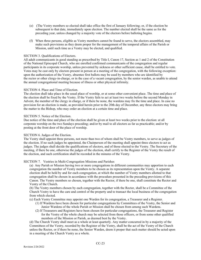- (e) (The Vestry members so elected shall take office the first of January following; or, if the election be subsequent to that date, immediately upon election. The number elected shall be the same as for the preceding year, unless changed by a majority vote of the electors before balloting begins.
- (f) When three persons, eligible as Vestry members cannot be found to serve, the electors assembled, may make such provisions as they deem proper for the management of the temporal affairs of the Parish or Mission, until such time as a Vestry may be elected, and qualified.

# SECTION 3. Qualifications of Electors.

All adult communicants in good standing as prescribed by Title I, Canon 17, Section as 1 and 2 of the Constitution of the National Episcopal Church, who are enrolled confirmed communicants of the congregation and regular participants in its corporate worship, unless prevented by sickness or other sufficient cause, shall be entitled to vote. Votes may be cast only by electors present in person at a meeting of the congregation, with the following exception: upon the authorization of the Vestry, absentee first ballots may be used by members who are identified by the rector or other clergy-in-charge, or in the case of a vacant congregation, by the senior warden, as unable to attend the annual congregational meeting because of illness or other physical infirmity.

# SECTION 4. Place and Time of Election.

The election shall take place in the usual place of worship, or at some other convenient place. The time and place of the election shall be fixed by the Vestry. If the Vestry fails to act at least two weeks before the second Monday in Advent, the member of the clergy in charge, or if there be none, the wardens may fix the time and place. In case no provision for an election is made, as provided herein prior to the 20th day of December, any three electors may bring the matter to the Bishop, who may order an election at a certain time and place.

# SECTION 5. Notice of the Election.

Due notice of the time and place of the election shall be given at least two weeks prior to the election: at all corporate worship on the two Sundays preceding; and/or by mail to all electors as far as practicable; and/or by posting at the front door of the place of worship.

# SECTION 6. Judges of the Election.

The Vestry shall appoint three persons, not more than two of whom shall be Vestry members, to serve as judges of the election. If no such judges be appointed, the Chairperson of the meeting shall appoint three electors to act as judges. The judges shall decide the qualifications of electors, and of those elected to the Vestry. The Secretary of the meeting, if there be one, otherwise the judges of the election, shall certify to the Register of the Vestry the result of the election, and such certification shall be recorded in the minutes of the Vestry.

#### SECTION 7. Vestries in Multi-Congregation Missions and Parishes

(a) Any Parish or Mission having two or more congregations in different communities may apportion to each congregation the number of Vestry members to be chosen as its representation upon the Vestry. A separate election shall be held by and for each congregation, at which the number of Vestry members allotted to that congregation shall be chosen in accordance with the procedure presented in the preceding provisions of this Canon. The Vestry members so chosen, together with the Rector, if there be one, shall constitute the Rector and Vestry of the Church.

(b) The Vestry members chosen by each congregation, together with the Rector, shall be a Committee of the Church Vestry to have the care and control of the property and to transact the local business of the congregation from which elected.

- (c) Each Vestry Committee may appoint one Warden for its congregation, a Treasurer and a Register.
	- (1) If Wardens have been chosen for particular congregations by Committees of the Vestry, the Senior and Junior Wardens of the whole Parish or Mission shall be chosen from among such Wardens.
	- (2) If Treasurers and Registers have been chosen for particular congregations, the Treasurer and Register for the Vestry of the whole church may be selected from those officers, or from some other qualified members of the Mission or Parish, as deemed best by the Vestry.

(d) The Church Vestry shall meet as a whole at least quarterly. Any matter concurred in by a majority of the Committees of the Vestry, recorded by the Register of the Vestry, shall be the act of the Vestry of the Church unless the Rector, or if there be none, the Senior Warden, deem it proper that such matter should be acted upon in a meeting of the Church Vestry as a whole.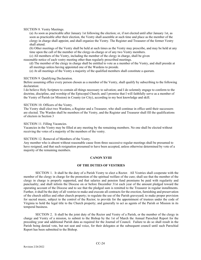SECTION 8. Vestry Meetings.

(a) As soon as practicable after January 1st following the election; or, if not elected until after January 1st, as soon as practicable after their election, the Vestry shall assemble at such time and place as the member of the clergy in charge shall appoint, and shall organize the Vestry. The Register and Treasurer of the former Vestry shall attend.

(b) Other meetings of the Vestry shall be held at such times as the Vestry may prescribe, and may be held at any time upon the call of the member of the clergy-in-charge or of any two Vestry members.

(c) All members of the Vestry, including the member of the clergy in charge, shall be given

reasonable notice of each vestry meeting other than regularly prescribed meetings.

(d) The member of the clergy in charge shall be entitled to vote as a member of the Vestry, and shall preside at all meetings unless having appointed one of the Wardens to preside.

(e) At all meetings of the Vestry a majority of the qualified members shall constitute a quorum.

#### SECTION 9. Qualifying Declaration.

Before assuming office every person chosen as a member of the Vestry, shall qualify by subscribing to the following declaration:

I do believe Holy Scripture to contain all things necessary to salvation; and I do solemnly engage to conform to the doctrine, discipline, and worship of the Episcopal Church; and I promise that I will faithfully serve as a member of the Vestry of Parish (or Mission) in County (or City), according to my best knowledge and skill.

#### SECTION 10. Officers of the Vestry.

The Vestry shall elect two Wardens, a Register and a Treasurer, who shall continue in office until their successors are elected. The Warden shall be members of the Vestry, and the Register and Treasurer shall fill the qualifications of electors in Section 3

#### SECTION 11. Filling Vacancies.

Vacancies in the Vestry may be filled at any meeting by the remaining members. No one shall be elected without receiving the votes of a majority of the members of the vestry.

#### SECTION 12. Removal of Members of the Vestry.

Any member who is absent without reasonable cause from three successive regular meetings shall be presumed to have resigned, and that such resignation presumed to have been accepted, unless otherwise determined by vote of a majority of the remaining members.

#### **CANON XVIII**

#### **OF THE DUTIES OF VESTRIES**

SECTION 1. It shall be the duty of a Parish Vestry to elect a Rector. All Vestries shall cooperate with the member of the clergy in charge for the promotion of the spiritual welfare of the cure; shall see that the member of the clergy in charge is properly supported, and that salaries and pension fund premiums be paid with regularity and punctuality; and shall inform the Diocese on or before December 31st each year of the amount pledged toward the operating account of the Diocese and to see that the pledged sum is remitted to the Treasurer in regular installments. Further, it shall be the duty of all vestries to make and execute all contracts for the erection, furnishing and preservation of the church edifice and other church property; to regulate the use of the Parish graveyard; to make proper provision for sacred music, subject to the control of the Rector; to provide for the appointment of trustees under the code of Virginia to hold the legal title to the Church property; and generally to act as agents of the Parish or Mission in its temporal business.

SECTION 2. It shall be the joint duty of the Rector and Vestry of a Parish, or the member of the clergy in charge and Vestry of a mission, to submit to the Bishop by the 1st of March the Annual Parochial Report for the preceding year and additional Parish data as required for the Journal of Council. Failure to do so shall result in the Parish being denied vote, but not seat and voice, for their delegates at the subsequent council until such Parochial Report has been submitted to the Bishop.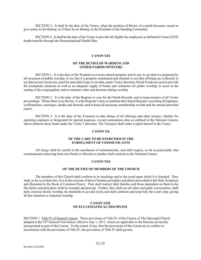SECTION 3. It shall be the duty of the Vestry, when the position of Rector of a parish becomes vacant to give notice to the Bishop, or if there be no Bishop, to the President of the Standing Committee.

SECTION 4. It shall be the duty of the Vestry to provide all eligible lay employees as defined in Canon XXXI health benefits through the Denominational Health Plan.

## **CANON XIX**

# **OF THE DUTIES OF WARDENS AND OTHER PARISH OFFICERS**

SECTION 1. It is the duty of the Wardens to oversee church property and its use: to see that it is prepared for all occasions of public worship; to see that it is properly maintained and cleaned; to see that offerings are collected; to see that sacred vessels are cared for and safely kept; to see that, under Vestry direction, Parish Funds are used to provide the Eucharistic elements as well as an adequate supply of books and vestments for public worship; to assist in the seating of the congregation; and to maintain order and decorum during worship.

SECTION 2. It is the duty of the Register to care for the Parish Records, and to keep minutes of all Vestry proceedings. Where there is no Rector, it is the Register's duty to maintain the Church Register, recording all baptisms, confirmations, marriages, deaths and funerals, and to keep all necessary membership records and the annual parochial report.

SECTION 3. It is the duty of the Treasurer to take charge of all offerings and other income, whether for operating expenses or designated for special purposes, except communion alms as outlined in the National Canons, and to disburse these funds under the Vestry's direction. The Treasurer shall make a report thereof to the Vestry.

#### **CANON XX**

# **OF THE CARE TO BE EXERCISED IN THE ENROLLMENT OF COMMUNICANTS**

All clergy shall be careful in the enrollment of communicants, and shall require, as far as practicable, that communicants removing from one Parish or Mission to another shall conform to the National Canons.

#### **CANON XXI**

#### **OF THE DUTIES OF MEMBERS OF THE CHURCH**

The members of this Church shall conform to its teachings and to the creed upon which it is founded. They shall, as far as in them lies, live in the exercise of those Christian principles and duties prescribed in the Holy Scriptures and illustrated in the Book of Common Prayer. They shall instruct their families and those dependent on them in the like duties and principles, both by example and precept. Further, they shall use all sober and godly conversation, shall daily exercise family worship, be charitable in act and word, and shall celebrate and keep holy the Lord's day, giving all due attention to corporate worship.

# **CANON XXII OF ECCLESIASTICAL DISCIPLINE**

SECTION 1 Title IV of General Canons. Those provisions of Title IV of the Canons of The Episcopal Church adopted at the 76<sup>th</sup> General Convention, effective July 1, 2011, which are applicable to the Diocese are hereby incorporated as part of this Canon. To the extent, if any, that the provisions of this Canon are in conflict or inconsistent with the provisions of Title IV, the provisions of Title IV shall govern.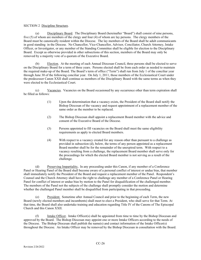# SECTION 2 Discipline Structure.

(a) Disciplinary Board. The Disciplinary Board (hereinafter "Board") shall consist of nine persons, five (5) of whom are members of the clergy and four (4) of whom are lay persons. The clergy members of the Board must be canonically resident within the Diocese. The lay members of the Board shall be adult communicants in good standing in the Diocese. No Chancellor, Vice-Chancellor, Advisor, Conciliator, Church Attorney, Intake Officer, or Investigator, or any member of the Standing Committee shall be eligible for election to the Disciplinary Board. Except as otherwise provided in other subsections of this section, members of the Board may only be removed by a majority vote of a quorum of the Executive Board.

(b) Election. At the meeting of each Annual Diocesan Council, three persons shall be elected to serve on the Disciplinary Board for a term of three years. Persons elected shall be from each order as needed to maintain the required make-up of the Board. The Board's term of office ("Term") shall run from July 1 of the conciliar year through June 30 of the following conciliar year. On July 1, 2011, those members of the Ecclesiastical Court under the predecessor Canon XXII shall continue as members of the Disciplinary Board with the same terms as when they were elected to the Ecclesiastical Court.

(c) Vacancies. Vacancies on the Board occasioned by any occurrence other than term expiration shall be filled as follows:

- (1) Upon the determination that a vacancy exists, the President of the Board shall notify the Bishop Diocesan of the vacancy and request appointment of a replacement member of the same order as the member to be replaced.
- (2) The Bishop Diocesan shall appoint a replacement Board member with the advice and consent of the Executive Board of the Diocese.
- (3) Persons appointed to fill vacancies on the Board shall meet the same eligibility requirements as apply to elected Board members.
- (4) With respect to a vacancy created for any reason other than pursuant to a challenge as provided in subsection (d), below, the terms of any person appointed as a replacement Board member shall be for the remainder of the unexpired term. With respect to a vacancy resulting from a challenge, the replacement Board member shall serve only for the proceedings for which the elected Board member is not serving as a result of the challenge.

(d) Preserving Impartiality**.** In any proceeding under this Canon, if any member of a Conference Panel or Hearing Panel of the Board shall become aware of a personal conflict of interest or undue bias, that member shall immediately notify the President of the Board and request a replacement member of the Panel. Respondent's Counsel and the Church Attorney shall have the right to challenge any member of a Conference Panel or Hearing Panel for conflict of interest or undue bias by motion to the Panel for disqualification of the challenged member. The members of the Panel not the subjects of the challenge shall promptly consider the motion and determine whether the challenged Panel member shall be disqualified from participating in that proceeding.

(e) President. Sometime after Annual Council and prior to the beginning of each Term, the new Board (newly elected members and incumbents) shall meet to elect a President, who shall serve for that Term. At that time, the Board shall also undertake training and education regarding Title IV of the Canons of The Episcopal Church and this Canon XXII.

(f) Intake Officer. Intake Officer(s) shall be appointed from time to time by the Bishop Diocesan and approved by the Board. The Bishop Diocesan may appoint one or more Intake Officers according to the needs of the Diocese. The Bishop Diocesan shall publish the name(s) and contact information of the Intake Officer(s) throughout the Diocese. An Intake Officer may be removed by the Bishop Diocesan in consultation with the Board.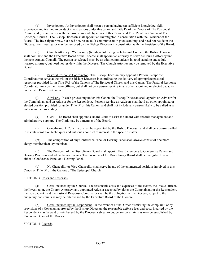(g) Investigator. An Investigator shall mean a person having (a) sufficient knowledge, skill, experience and training to conduct investigations under this canon and Title IV of the Canons of The Episcopal Church and (b) familiarity with the provisions and objectives of this Canon and Title IV of the Canons of The Episcopal Church. The Bishop Diocesan shall appoint an Investigator in consultation with the President of the Board. The Investigator may, but need not, be an adult communicant in good standing, and need not reside in the Diocese. An Investigator may be removed by the Bishop Diocesan in consultation with the President of the Board.

(h) Church Attorney. Within sixty (60) days following each Annual Council, the Bishop Diocesan shall nominate and the Executive Board of the Diocese shall appoint an attorney to serve as Church Attorney until the next Annual Council. The person so selected must be an adult communicant in good standing and a duly licensed attorney, but need not reside within the Diocese. The Church Attorney may be removed by the Executive Board.

(i) Pastoral Response Coordinator**.** The Bishop Diocesan may appoint a Pastoral Response Coordinator to serve at the will of the Bishop Diocesan in coordinating the delivery of appropriate pastoral responses provided for in Title IV.8 of the Canons of The Episcopal Church and this Canon. The Pastoral Response Coordinator may be the Intake Officer, but shall not be a person serving in any other appointed or elected capacity under Title IV or this Canon.

(j) Advisors. In each proceeding under this Canon, the Bishop Diocesan shall appoint an Advisor for the Complainant and an Advisor for the Respondent. Persons serving as Advisors shall hold no other appointed or elected position provided for under Title IV or this Canon, and shall not include any person likely to be called as a witness in the proceeding.

(k) Clerk. The Board shall appoint a Board Clerk to assist the Board with records management and administrative support. The Clerk may be a member of the Board.

(l) Conciliator. A Conciliator shall be appointed by the Bishop Diocesan and shall be a person skilled in dispute resolution techniques and without a conflict of interest in the specific matter.

(m) The composition of any Conference Panel or Hearing Panel shall always consist of one more clergy member than lay members.

(n) The President of the Disciplinary Board shall appoint Board members to Conference Panels and Hearing Panels as and when the need arises. The President of the Disciplinary Board shall be ineligible to serve on either a Conference Panel or a Hearing Panel.

(o) No Chancellor or Vice-Chancellor shall serve in any of the enumerated positions involved in this Canon or Title IV of the Canons of The Episcopal Church.

# SECTION 3 Costs and Expenses.

(a) Costs Incurred by the Church. The reasonable costs and expenses of the Board, the Intake Officer, the Investigator, the Church Attorney, any appointed Advisor accepted by either the Complainant or the Respondent, the Board Clerk, and the Pastoral Response Coordinator shall be the obligation of the Diocese, subject to the budgetary constraints as may be established by the Executive Board of the Diocese.

(b) Costs Incurred by the Respondent. In the event of a final Order dismissing the complaint, or by provisions of a Covenant approved by the Bishop Diocesan, the reasonable defense fees and costs incurred by the Respondent may be paid or reimbursed by the Diocese, subject to budgetary constraints as may be established by Executive Board of the Diocese.

SECTION 4 Records.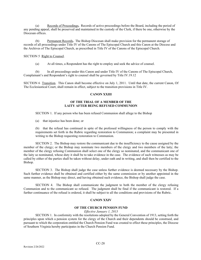(a) Records of Proceedings**.** Records of active proceedings before the Board, including the period of any pending appeal, shall be preserved and maintained in the custody of the Clerk, if there be one, otherwise by the Diocesan offices.

(b) Permanent Records**.** The Bishop Diocesan shall make provision for the permanent storage of records of all proceedings under Title IV of the Canons of The Episcopal Church and this Canon at the Diocese and the Archives of The Episcopal Church, as prescribed in Title IV of the Canons of the Episcopal Church.

# SECTION 5 Right to Counsel.

(a) At all times, a Respondent has the right to employ and seek the advice of counsel.

(b) In all proceedings under this Canon and under Title IV of the Canons of The Episcopal Church, Complainant's and Respondent's right to counsel shall be governed by Title IV.19.12

SECTION 6 Transition.This Canon shall become effective on July 1, 2011. Until that date, the current Canon, Of The Ecclesiastical Court, shall remain in effect, subject to the transition provisions in Title IV.

# **CANON XXIII**

# **OF THE TRIAL OF A MEMBER OF THE LAITY AFTER BEING REFUSED COMMUNION**

SECTION 1. If any person who has been refused Communion shall allege to the Bishop

(a) that injustice has been done; or

(b) that the refusal has continued in spite of the professed willingness of the person to comply with the requirements set forth in the Rubric regarding restoration to Communion; a complaint may be presented in writing to the Bishop requesting restoration to Communion.

SECTION 2. The Bishop may restore the communicant due to the insufficiency to the cause assigned by the member of the clergy; or the Bishop may nominate two members of the clergy and two members of the laity; the member of the clergy refusing Communion shall select one of the clergy so nominated, and the communicant one of the laity so nominated, whose duty it shall be to take evidence in the case. The evidence of such witnesses as may be called by either of the parties shall be taken without delay, under oath and in writing, and shall then be certified to the Bishop.

SECTION 3. The Bishop shall judge the case unless further evidence is deemed necessary by the Bishop. Such further evidence shall be obtained and certified either by the same commission or by another appointed in the same manner, as the Bishop may direct, and having obtained such evidence, the Bishop shall judge the case.

SECTION 4. The Bishop shall communicate the judgment to both the member of the clergy refusing Communion and to the communicant so refused. The judgment shall be final if the communicant is restored. If a further continuance of the refusal is ordered, it shall be subject to all the conditions and provisions of the Rubric.

# **CANON XXIV**

# **OF THE CHURCH PENSION FUND**

*Effective January 1, 2013*

SECTION 1. In conformity with the resolutions adopted by the General Convention of 1913, setting forth the principles upon which a pension system for the clergy of the Church and their dependents should be construed, and pursuant to which the corporation entitled the Church Pension Fund was created to effect these principles, the Diocese of Southern Virginia hereby participates in the Church Pension Fund.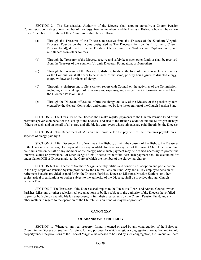SECTION 2. The Ecclesiastical Authority of the Diocese shall appoint annually, a Church Pension Commission, consisting of one member of the clergy, two lay members, and the Diocesan Bishop, who shall be an "exofficio" member. The duties of this Commission shall be as follows:

- (a) Through the Treasurer of the Diocese, to receive from the Trustees of the Southern Virginia Diocesan Foundation the income designated as The Diocesan Pension Fund (formerly Church Pension Fund), derived from the Disabled Clergy Fund, the Widows and Orphans Fund, and remittances from other sources.
- (b) Through the Treasurer of the Diocese, receive and safely keep such other funds as shall be received from the Trustees of the Southern Virginia Diocesan Foundation, or from others.
- (c) Through the Treasurer of the Diocese, to disburse funds, in the form of grants, to such beneficiaries as the Commission shall deem to be in need of the same, priority being given to disabled clergy, clergy widows and orphans of clergy.
- (d) Through its chairperson, to file a written report with Council on the activities of the Commission, including a financial report of its income and expenses, and any pertinent information received from the Diocesan Pension Fund.
- (e) Through the Diocesan offices, to inform the clergy and laity of the Diocese of the pension system created by the General Convention and committed by it to the operation of the Church Pension Fund.

SECTION 3. The Treasurer of the Diocese shall make regular payments to the Church Pension Fund of the premiums payable on behalf of the Bishop of the Diocese, and also of the Bishop Coadjutor and the Suffragan Bishops if there be such, and on behalf of all clergy and eligible lay employees whose stipends are paid directly by the Diocese.

SECTION 4. The Department of Mission shall provide for the payment of the premiums payable on all stipends of clergy paid by it.

SECTION 5. After December 1st of each year the Bishop, or with the consent of the Bishop, the Treasurer of the Diocese, shall arrange for payment from any available funds all or any part of the current Church Pension Fund premiums due on behalf of any member of the clergy; where such payment may be deemed necessary to protect the interests, actual or provisional, of other clergy of this Diocese or their families; such payment shall be accounted for under Canon XIII as Diocesan aid to the Cure of which the member of the clergy has charge.

SECTION 6. The Diocese of Southern Virginia hereby ratifies and confirms its adoption and participation in the Lay Employee Pension System provided by the Church Pension Fund. Any and all lay employee pension or retirement benefits provided or paid for by the Diocese, Parishes, Diocesan Missions, Mission Stations, or other ecclesiastical organizations or bodies subject to the authority of the Diocese, shall be provided through Church Pension Fund.

SECTION 7. The Treasurer of the Diocese shall report to the Executive Board and Annual Council which Parishes, Missions or other ecclesiastical organizations or bodies subject to the authority of the Diocese have failed to pay for both clergy and eligible lay employees, in full, their assessments by the Church Pension Fund, and such other matters in regard to the operation of the Church Pension Fund as may be appropriate.

# **CANON XXV**

#### **OF ABANDONED PROPERTY**

SECTION 1. Whenever any real property, formerly owned or used by any congregation of the Episcopal Church in the Diocese of Southern Virginia, for any purpose for which religious congregations are authorized to hold property under the provisions of the Code of Virginia, has ceased to be used by such congregation, the Executive Board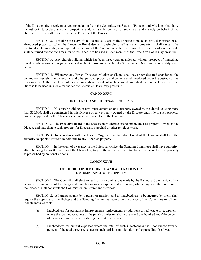of the Diocese, after receiving a recommendation from the Committee on Status of Parishes and Missions, shall have the authority to declare any such property abandoned and be entitled to take charge and custody on behalf of the Diocese. Title thereafter shall vest in the Trustees of the Diocese.

SECTION 2. It shall be the duty of the Executive Board of the Diocese to make an early disposition of all abandoned property. When the Executive Board deems it desirable to sell any such property, it shall cause to be instituted such proceedings as required by the laws of the Commonwealth of Virginia. The proceeds of any such sale shall be turned over to the Treasurer of the Diocese to be used in such manner as the Executive Board may prescribe.

SECTION 3. Any church building which has been three years abandoned, without prospect of immediate rental or sale to another congregation, and without reason to be declared a Shrine under Diocesan responsibility, shall be razed.

SECTION 4. Whenever any Parish, Diocesan Mission or Chapel shall have been declared abandoned, the communion vessels, church records, and other personal property and contents shall be placed under the custody of the Ecclesiastical Authority. Any cash or any proceeds of the sale of such personal propertied over to the Treasurer of the Diocese to be used in such a manner as the Executive Board may prescribe.

#### **CANON XXVI**

# **OF CHURCH AND DIOCESAN PROPERTY**

SECTION 1. No church building, or any improvement on or to property owned by the church, costing more than \$50,000, shall be constructed in this Diocese on any property owned by the Diocese until title to such property has been approved by the Chancellor or the Vice Chancellor of the Diocese.

SECTION 2. The Executive Board of the Diocese may alienate or encumber, any real property owned by the Diocese and may donate such property for Diocesan, parochial or other religious work.

SECTION 3. In accordance with the laws of Virginia, the Executive Board of the Diocese shall have the authority to appoint Trustees to hold title to any Diocesan property.

SECTION 4. In the event of a vacancy in the Episcopal Office, the Standing Committee shall have authority, after obtaining the written advice of the Chancellor, to give the written consent to alienate or encumber real property as prescribed by National Canons.

#### **CANON XXVII**

# **OF CHURCH INDEBTEDNESS AND ALIENATION OR ENCUMBRANCE OF PROPERTY**

SECTION 1. The Council shall elect annually, from nominations made by the Bishop, a Commission of six persons, two members of the clergy and three lay members experienced in finance, who, along with the Treasurer of the Diocese, shall constitute the Commission on Church Indebtedness.

SECTION 2. All grants sought by a parish or mission, and all indebtedness to be incurred by them, shall require the approval of the Bishop and the Standing Committee, acting on the advice of the Committee on Church Indebtedness, except:

- (a) Indebtedness for permanent improvements, replacements or additions to real estate or equipment, where the total indebtedness of the parish or mission, shall not exceed one hundred and fifty percent of its average annual receipts during the past three years.
- (b) Indebtedness for current expenses where the total of such indebtedness shall not exceed twenty percent of the total current revenues of such parish or mission during the preceding fiscal year.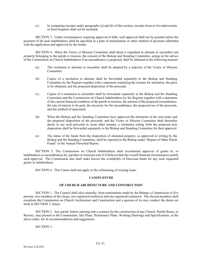(c) In computing receipts under paragraphs (a) and (b) of this section, receipts from or for endowments or from bequests shall not be included.

SECTION 3. Under circumstances requiring approval of debt, such approval shall not be granted unless the payment of all such indebtedness shall be specified in a plan of amortization or other method of payment submitted with the application and approved by the lender.

SECTION 4. When the Vestry or Mission Committee shall deem it expedient to alienate or encumber real property belonging to the parish or mission, the consent of the Bishop and Standing Committee, acting on the advice of the Commission on Church Indebtedness if an encumbrance is proposed, shall be obtained in the following manner:

- (a) The resolution to alienate or encumber shall be adopted by a majority of the Vestry or Mission Committee.
- (b) Copies of a resolution to alienate shall be forwarded separately to the Bishop and Standing Committee by the Register together with a statement containing the reasons for alienation, the price to be obtained, and the proposed disposition of the proceeds.
- (c) Copies of a resolution to encumber shall be forwarded separately to the Bishop and the Standing Committee and the Commission on Church Indebtedness by the Register together with a statement of the current financial condition of the parish or mission, the amount of the proposed encumbrance, the rate of interest to be paid, the necessity for the encumbrance, the proposed use of the proceeds, and the method of repayment.
- (d) When the Bishop and the Standing Committee have approved the alienation of the real estate and the proposed disposition of the proceeds, and the Vestry or Mission Committee shall thereafter desire to use such proceeds in some other manner, a resolution setting forth the proposed new disposition shall be forwarded separately to the Bishop and Standing Committee for their approval.
- (e) The status of the funds from the disposition of alienated property, as approved in writing by the Bishop and the Standing Committee, shall be reported to the Bishop under "Report of Other Parish Funds" in the Annual Parochial Report.

SECTION 5. The Commission on Church Indebtedness shall recommend approval of grants to, or indebtedness or encumbrances by, parishes or missions only if it believes that the overall financial circumstances justify such approval. The Commission also shall make known the availability of Diocesan funds for any such requested grants or indebtedness.

SECTION 6. This Canon shall not apply to the refinancing of existing loans.

# **CANON XXVIII**

# **OF CHURCH ARCHITECTURE AND CONSTRUCTION**

SECTION 1. The Council shall elect annually, from nominations made by the Bishop, a Commission of five persons, two members of the clergy, two registered architects and one registered contractor. The elected members shall constitute the Commission on Church Architecture and Construction and a quorum of its may conduct the duties set forth in SECTION 3, below.

SECTION 2. Any parish, before entering into a contract for the construction of any Church, Parish House, or Rectory, may present to the Commission, Site Plans, Preliminary Plans, Working Drawings and Specifications, in the above order, for its recommendations and suggestions.

# SECTION 3.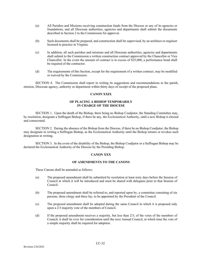- (a) All Parishes and Missions receiving construction funds from the Diocese or any of its agencies or foundations, and all Diocesan authorities, agencies and departments shall submit the documents described in Section 2 to the Commission for approval.
- (b) Such documents shall be prepared, and construction shall be supervised, by an architect or engineer licensed to practice in Virginia.
- (c) In addition, all such parishes and missions and all Diocesan authorities, agencies and departments shall submit to the Commission a written construction contract approved by the Chancellor or Vice Chancellor. In the event the amount of contract is in excess of \$25,000, a performance bond shall be required of the contractor.
- (d) The requirements of this Section, except for the requirement of a written contract, may be modified or waived by the Commission.

SECTION 4. The Commission shall report in writing its suggestions and recommendations to the parish, mission, Diocesan agency, authority or department within thirty days of receipt of the proposed plans.

# **CANON XXIX**

# **OF PLACING A BISHOP TEMPORARILY IN CHARGE OF THE DIOCESE**

SECTION 1. Upon the death of the Bishop, there being no Bishop Coadjutor, the Standing Committee may, by resolution, designate a Suffragan Bishop, if there be any, the Ecclesiastical Authority, until a new Bishop is elected and consecrated.

SECTION 2. During the absence of the Bishop from the Diocese, if there be no Bishop Coadjutor, the Bishop may designate in writing a Suffragan Bishop, as the Ecclesiastical Authority until the Bishop returns or revokes such designation in writing.

SECTION 3. In the event of the disability of the Bishop, the Bishop Coadjutor or a Suffragan Bishop may be declared the Ecclesiastical Authority of the Diocese by the Presiding Bishop.

# **CANON XXX**

#### **OF AMENDMENTS TO THE CANONS**

These Canons shall be amended as follows:

- (a) The proposed amendment shall be submitted by resolution at least sixty days before the Session of Council at which it will be introduced and must be shared with delegates prior to that Session of Council.
- (b) The proposed amendment shall be referred to, and reported upon by, a committee consisting of six persons, three clergy and three lay, to be appointed by the President of the Council.
- (c) The proposed amendment shall be adopted during the same Council in which it is proposed only upon a 2/3 majority vote of the members of Council.
- (d) If the proposed amendment receives a majority, but less than 2/3, of the votes of the members of Council, it shall lie over for consideration until the next Annual Council, at which time the vote of a simple majority shall be required for adoption.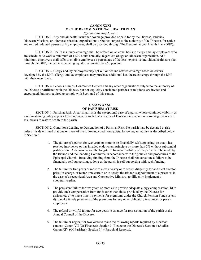# **CANON XXXI OF THE DENOMINATIONAL HEALTH PLAN**

*Effective January 1, 2013*

SECTION 1. Any and all health insurance coverage provided or paid for by the Diocese, Parishes, Diocesan Missions, or other ecclesiastical organizations or bodies subject to the authority of the Diocese, for active and retired ordained persons or lay employees, shall be provided through The Denominational Health Plan (DHP).

SECTION 2. Health insurance coverage shall be offered on an equal basis to clergy and lay employees who are scheduled to work a minimum of 1,500 hours annually, regardless of age or Diocesan organization. At a minimum, employers shall offer to eligible employees a percentage of the least-expensive individual healthcare plan through the DHP, the percentage being equal to or greater than 50 percent.

SECTION 3. Clergy and lay employees may opt-out or decline offered coverage based on criteria developed by the DHP. Clergy and lay employees may purchase additional healthcare coverage through the DHP with their own funds.

SECTION 4. Schools, Camps, Conference Centers and any other organizations subject to the authority of the Diocese or affiliated with the Diocese, but not explicitly considered parishes or missions, are invited and encouraged, but not required to comply with Section 2 of this canon.

# **CANON XXXII OF PARISHES AT RISK**

SECTION 1. Parish at Risk. A parish at risk is the exceptional case of a parish whose continued viability as a self-sustaining entity appears to be in jeopardy such that a degree of Diocesan intervention or oversight is needed as a means to restore health to the parish.

SECTION 2. Conditions Leading to Designation of a Parish at Risk. No parish may be declared at risk unless it is determined that one or more of the following conditions exists, following an inquiry as described below in Section 3:

- 1. The failure of a parish for two years or more to be financially self-supporting, so that it has reached insolvency or has invaded endowment principle by more than 5% without substantial justification. A decision about the long-term financial viability of the parish will be made by the Bishop and the Standing Committee in accordance with the policies and procedures of the Episcopal Church. Receiving funding from the Diocese shall not constitute a failure to be financially self-supporting, so long as the parish is self-supporting with such funding.
- 2. The failure for two years or more to elect a vestry or to search diligently for and elect a rector, priest-in-charge, or rector time certain or to accept the Bishop's appointment of a priest or, in the case of a recognized Area and Cooperative Ministry, to diligently implement a cooperative plan.
- 3. The persistent failure for two years or more a) to provide adequate clergy compensation; b) to provide such compensation from funds other than those provided by the Diocese for assistance; c) to make timely payments for premiums under the Church Pension Fund system; d) to make timely payments of the premiums for any other obligatory insurance for parish employees.
- 4. The refusal or willful failure for two years to arrange for representation of the parish at the Annual Council of the Diocese.
- 5. The failure or neglect for two years to make the following reports required by diocesan canons: Canon VII (Of Finances), Section 3 (Pledge to the Diocese); Section 4 (Audit); Canon XIV (Of Parishes), Section 1(j) (Parochial Reports).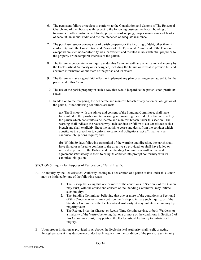- 6. The persistent failure or neglect to conform to the Constitution and Canons of The Episcopal Church and of the Diocese with respect to the following business methods: bonding of treasurers or other custodians of funds, proper record keeping, proper maintenance of books of account, an annual audit, and the maintenance of adequate insurance.
- 7. The purchase, use, or conveyance of parish property, or the incurring of debt, other than in conformity with the Constitution and Canons of The Episcopal Church and of the Diocese, except where such non-conformity was inadvertent and resulted in no substantial prejudice to the property or the temporal interests of the parish.
- 8. The failure to cooperate in an inquiry under this Canon or with any other canonical inquiry by the Ecclesiastical Authority or its designee, including the failure or refusal to provide full and accurate information on the state of the parish and its affairs.
- 9. The failure to make a good faith effort to implement any plan or arrangement agreed to by the parish under this Canon.
- 10. The use of the parish property in such a way that would jeopardize the parish's non-profit tax status.
- 11. In addition to the foregoing, the deliberate and manifest breach of any canonical obligation of the parish, if the following conditions are met:

(a) The Bishop, with the advice and consent of the Standing Committee, shall have transmitted to the parish a written warning summarizing the conduct or failure to act by the parish which constitutes a deliberate and manifest breach under this section. The warning shall indicate the reasons why such conduct or failure to act constitutes such a breach and shall explicitly direct the parish to cease and desist from the conduct which constitutes the breach or to conform to canonical obligations; act affirmatively as canonical obligations require; and

(b) Within 30 days following transmittal of the warning and direction, the parish shall have failed or refused to conform to the directive so provided, or shall have failed or refused to provide to the Bishop and the Standing Committee a written plan and agreement satisfactory to them to bring its conduct into prompt conformity with its canonical obligation.

SECTION 3. Inquiry for Purposes of Restoration of Parish Health.

- A. An inquiry by the Ecclesiastical Authority leading to a declaration of a parish at risk under this Canon may be initiated by one of the following ways:
	- 1. The Bishop, believing that one or more of the conditions in Section 2 of this Canon may exist, with the advice and consent of the Standing Committee, may initiate such inquiry;
	- 2. The Standing Committee, believing that one or more of the conditions in Section 2 of this Canon may exist, may petition the Bishop to initiate such inquiry; or if the Standing Committee is the Ecclesiastical Authority, it may initiate such inquiry by majority vote;
	- 3. The Rector, Priest-in-Charge, or Rector Time Certain serving, or both Wardens, or a majority of the Vestry, believing that one or more of the conditions in Section 2 of this Canon may exist, may petition the Ecclesiastical Authority to initiate such inquiry.
- B. Upon proper initiation as provided in A. above, the Ecclesiastical Authority shall itself, or acting through persons it may designate, conduct such inquiry into the condition of the parish. Such inquiry